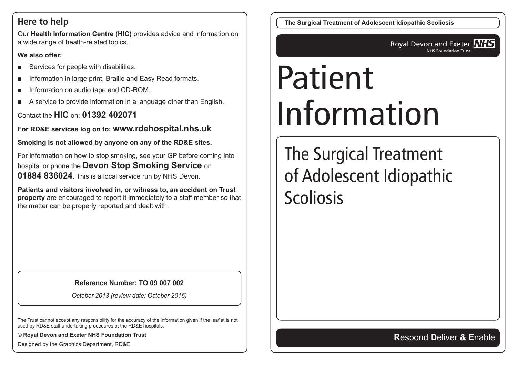## **Here to help**

Our **Health Information Centre (HIC)** provides advice and information on a wide range of health-related topics.

#### **We also offer:**

- Services for people with disabilities.
- Information in large print, Braille and Easy Read formats.
- Information on audio tape and CD-ROM.
- A service to provide information in a language other than English.

Contact the **HIC** on: **01392 402071**

**For RD&E services log on to: www.rdehospital.nhs.uk**

**Smoking is not allowed by anyone on any of the RD&E sites.**

For information on how to stop smoking, see your GP before coming into hospital or phone the **Devon Stop Smoking Service** on **01884 836024**. This is a local service run by NHS Devon.

**Patients and visitors involved in, or witness to, an accident on Trust property** are encouraged to report it immediately to a staff member so that the matter can be properly reported and dealt with.

#### **Reference Number: TO 09 007 002**

*October 2013 (review date: October 2016)*

The Trust cannot accept any responsibility for the accuracy of the information given if the leaflet is not used by RD&E staff undertaking procedures at the RD&E hospitals.

**© Royal Devon and Exeter NHS Foundation Trust**

Designed by the Graphics Department, RD&E

**The Surgical Treatment of Adolescent Idiopathic Scoliosis**

Royal Devon and Exeter **NHS** NHS Foundation Trust

# Patient Information

The Surgical Treatment of Adolescent Idiopathic Scoliosis

**R**espond **D**eliver **& E**nable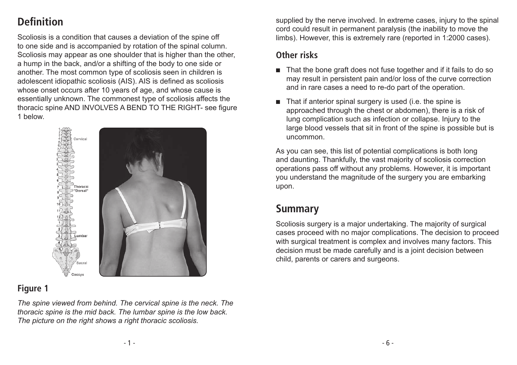# **Definition**

Scoliosis is a condition that causes a deviation of the spine off to one side and is accompanied by rotation of the spinal column. Scoliosis may appear as one shoulder that is higher than the other, a hump in the back, and/or a shifting of the body to one side or another. The most common type of scoliosis seen in children is adolescent idiopathic scoliosis (AIS). AIS is defined as scoliosis whose onset occurs after 10 years of age, and whose cause is essentially unknown. The commonest type of scoliosis affects the thoracic spine AND INVOLVES A BEND TO THE RIGHT- see figure 1 below.



### **Figure 1**

*The spine viewed from behind. The cervical spine is the neck. The thoracic spine is the mid back. The lumbar spine is the low back. The picture on the right shows a right thoracic scoliosis.*

supplied by the nerve involved. In extreme cases, injury to the spinal cord could result in permanent paralysis (the inability to move the limbs). However, this is extremely rare (reported in 1:2000 cases).

#### **Other risks**

- That the bone graft does not fuse together and if it fails to do so may result in persistent pain and/or loss of the curve correction and in rare cases a need to re-do part of the operation.
- That if anterior spinal surgery is used (i.e. the spine is approached through the chest or abdomen), there is a risk of lung complication such as infection or collapse. Injury to the large blood vessels that sit in front of the spine is possible but is uncommon.

As you can see, this list of potential complications is both long and daunting. Thankfully, the vast majority of scoliosis correction operations pass off without any problems. However, it is important you understand the magnitude of the surgery you are embarking upon.

## **Summary**

Scoliosis surgery is a major undertaking. The majority of surgical cases proceed with no major complications. The decision to proceed with surgical treatment is complex and involves many factors. This decision must be made carefully and is a joint decision between child, parents or carers and surgeons.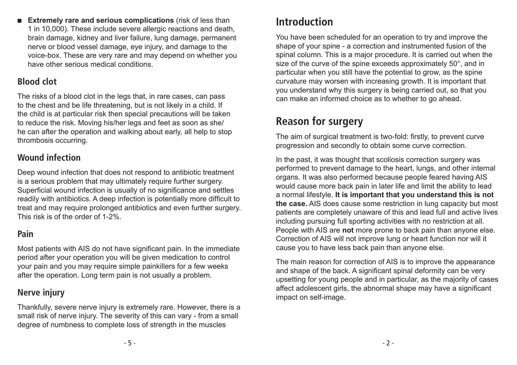■ **Extremely rare and serious complications** (risk of less than 1 in 10,000). These include severe allergic reactions and death, brain damage, kidney and liver failure, lung damage, permanent nerve or blood vessel damage, eye injury, and damage to the voice-box. These are very rare and may depend on whether you have other serious medical conditions.

#### **Blood clot**

The risks of a blood clot in the legs that, in rare cases, can pass to the chest and be life threatening, but is not likely in a child. If the child is at particular risk then special precautions will be taken to reduce the risk. Moving his/her legs and feet as soon as she/ he can after the operation and walking about early, all help to stop thrombosis occurring.

### **Wound infection**

Deep wound infection that does not respond to antibiotic treatment is a serious problem that may ultimately require further surgery. Superficial wound infection is usually of no significance and settles readily with antibiotics. A deep infection is potentially more difficult to treat and may require prolonged antibiotics and even further surgery. This risk is of the order of 1-2%.

### **Pain**

Most patients with AIS do not have significant pain. In the immediate period after your operation you will be given medication to control your pain and you may require simple painkillers for a few weeks after the operation. Long term pain is not usually a problem.

#### **Nerve injury**

Thankfully, severe nerve injury is extremely rare. However, there is a small risk of nerve injury. The severity of this can vary - from a small degree of numbness to complete loss of strength in the muscles

## **Introduction**

You have been scheduled for an operation to try and improve the shape of your spine - a correction and instrumented fusion of the spinal column. This is a major procedure. It is carried out when the size of the curve of the spine exceeds approximately 50°, and in particular when you still have the potential to grow, as the spine curvature may worsen with increasing growth. It is important that you understand why this surgery is being carried out, so that you can make an informed choice as to whether to go ahead.

# **Reason for surgery**

The aim of surgical treatment is two-fold: firstly, to prevent curve progression and secondly to obtain some curve correction.

In the past, it was thought that scoliosis correction surgery was performed to prevent damage to the heart, lungs, and other internal organs. It was also performed because people feared having AIS would cause more back pain in later life and limit the ability to lead a normal lifestyle. **It is important that you understand this is not the case.** AIS does cause some restriction in lung capacity but most patients are completely unaware of this and lead full and active lives including pursuing full sporting activities with no restriction at all. People with AIS are **not** more prone to back pain than anyone else. Correction of AIS will not improve lung or heart function nor will it cause you to have less back pain than anyone else.

The main reason for correction of AIS is to improve the appearance and shape of the back. A significant spinal deformity can be very upsetting for young people and in particular, as the majority of cases affect adolescent girls, the abnormal shape may have a significant impact on self-image.